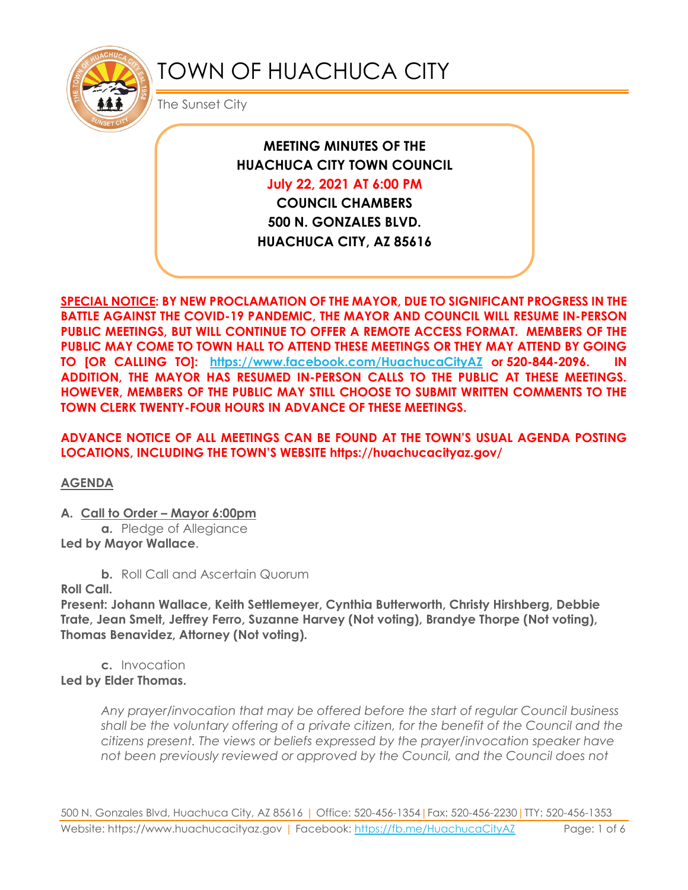

# TOWN OF HUACHUCA CITY

The Sunset City

**MEETING MINUTES OF THE HUACHUCA CITY TOWN COUNCIL July 22, 2021 AT 6:00 PM**

**COUNCIL CHAMBERS 500 N. GONZALES BLVD. HUACHUCA CITY, AZ 85616**

**SPECIAL NOTICE: BY NEW PROCLAMATION OF THE MAYOR, DUE TO SIGNIFICANT PROGRESS IN THE BATTLE AGAINST THE COVID-19 PANDEMIC, THE MAYOR AND COUNCIL WILL RESUME IN-PERSON PUBLIC MEETINGS, BUT WILL CONTINUE TO OFFER A REMOTE ACCESS FORMAT. MEMBERS OF THE PUBLIC MAY COME TO TOWN HALL TO ATTEND THESE MEETINGS OR THEY MAY ATTEND BY GOING TO [OR CALLING TO]: <https://www.facebook.com/HuachucaCityAZ> or 520-844-2096. IN ADDITION, THE MAYOR HAS RESUMED IN-PERSON CALLS TO THE PUBLIC AT THESE MEETINGS. HOWEVER, MEMBERS OF THE PUBLIC MAY STILL CHOOSE TO SUBMIT WRITTEN COMMENTS TO THE TOWN CLERK TWENTY-FOUR HOURS IN ADVANCE OF THESE MEETINGS.** 

### **ADVANCE NOTICE OF ALL MEETINGS CAN BE FOUND AT THE TOWN'S USUAL AGENDA POSTING LOCATIONS, INCLUDING THE TOWN'S WEBSITE https://huachucacityaz.gov/**

**AGENDA**

**A. Call to Order – Mayor 6:00pm**

**a.** Pledge of Allegiance **Led by Mayor Wallace**.

**b.** Roll Call and Ascertain Quorum

**Roll Call.**

**Present: Johann Wallace, Keith Settlemeyer, Cynthia Butterworth, Christy Hirshberg, Debbie Trate, Jean Smelt, Jeffrey Ferro, Suzanne Harvey (Not voting), Brandye Thorpe (Not voting), Thomas Benavidez, Attorney (Not voting).**

**c.** Invocation **Led by Elder Thomas.**

> *Any prayer/invocation that may be offered before the start of regular Council business shall be the voluntary offering of a private citizen, for the benefit of the Council and the citizens present. The views or beliefs expressed by the prayer/invocation speaker have not been previously reviewed or approved by the Council, and the Council does not*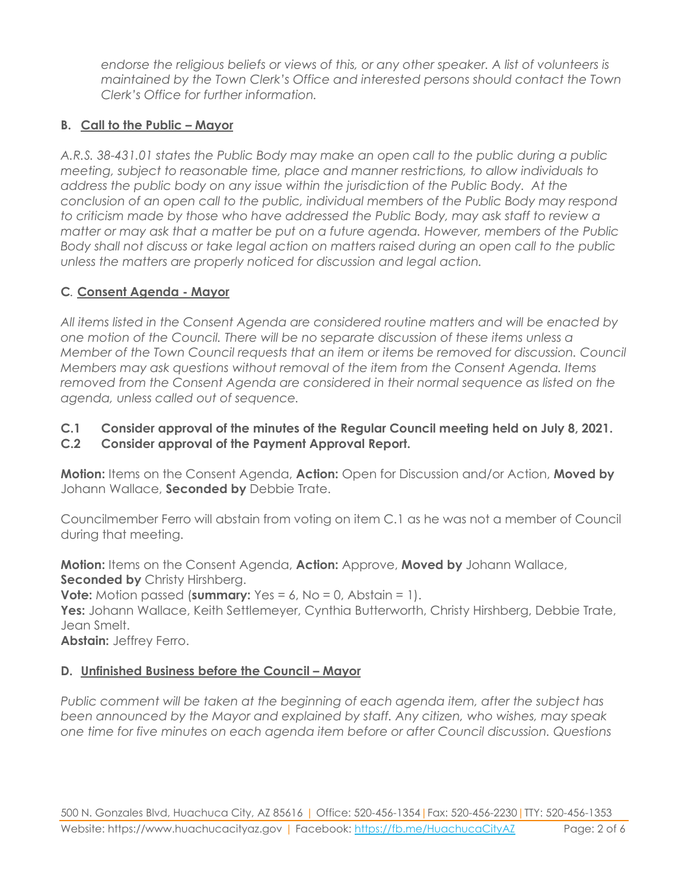*endorse the religious beliefs or views of this, or any other speaker. A list of volunteers is maintained by the Town Clerk's Office and interested persons should contact the Town Clerk's Office for further information.*

## **B. Call to the Public – Mayor**

*A.R.S. 38-431.01 states the Public Body may make an open call to the public during a public meeting, subject to reasonable time, place and manner restrictions, to allow individuals to address the public body on any issue within the jurisdiction of the Public Body. At the conclusion of an open call to the public, individual members of the Public Body may respond to criticism made by those who have addressed the Public Body, may ask staff to review a matter or may ask that a matter be put on a future agenda. However, members of the Public Body shall not discuss or take legal action on matters raised during an open call to the public unless the matters are properly noticed for discussion and legal action.*

# **C***.* **Consent Agenda - Mayor**

*All items listed in the Consent Agenda are considered routine matters and will be enacted by one motion of the Council. There will be no separate discussion of these items unless a Member of the Town Council requests that an item or items be removed for discussion. Council Members may ask questions without removal of the item from the Consent Agenda. Items removed from the Consent Agenda are considered in their normal sequence as listed on the agenda, unless called out of sequence.*

# **C.1 Consider approval of the minutes of the Regular Council meeting held on July 8, 2021.**

## **C.2 Consider approval of the Payment Approval Report.**

**Motion:** Items on the Consent Agenda, **Action:** Open for Discussion and/or Action, **Moved by** Johann Wallace, **Seconded by** Debbie Trate.

Councilmember Ferro will abstain from voting on item C.1 as he was not a member of Council during that meeting.

**Motion:** Items on the Consent Agenda, **Action:** Approve, **Moved by** Johann Wallace, **Seconded by Christy Hirshberg.** 

**Vote:** Motion passed (**summary:** Yes = 6, No = 0, Abstain = 1).

**Yes:** Johann Wallace, Keith Settlemeyer, Cynthia Butterworth, Christy Hirshberg, Debbie Trate, Jean Smelt.

**Abstain:** Jeffrey Ferro.

# **D.** Unfinished Business before the Council – Mayor

*Public comment will be taken at the beginning of each agenda item, after the subject has been announced by the Mayor and explained by staff. Any citizen, who wishes, may speak one time for five minutes on each agenda item before or after Council discussion. Questions*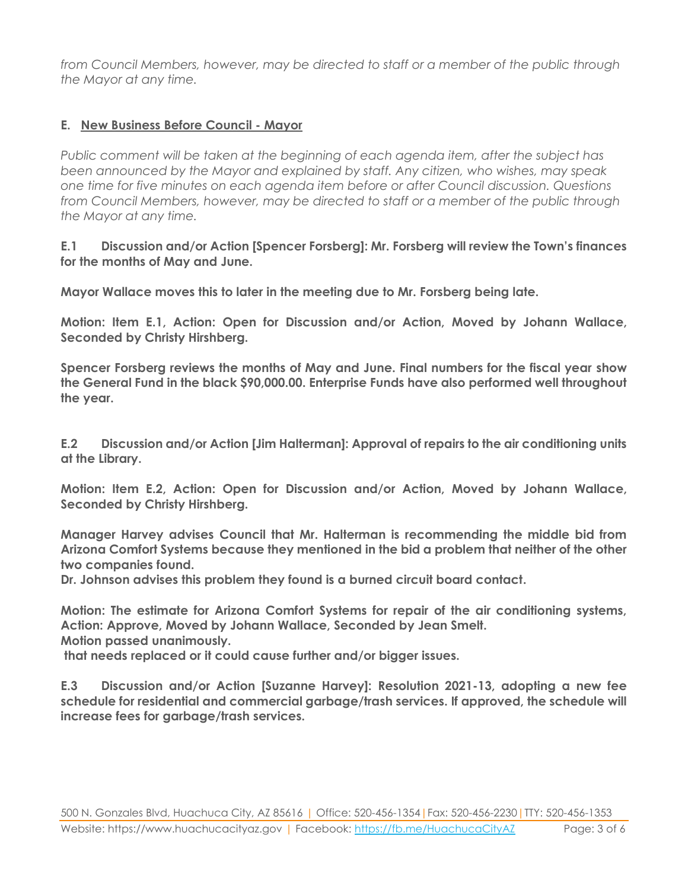*from Council Members, however, may be directed to staff or a member of the public through the Mayor at any time.*

## **E. New Business Before Council - Mayor**

*Public comment will be taken at the beginning of each agenda item, after the subject has been announced by the Mayor and explained by staff. Any citizen, who wishes, may speak one time for five minutes on each agenda item before or after Council discussion. Questions from Council Members, however, may be directed to staff or a member of the public through the Mayor at any time.*

**E.1 Discussion and/or Action [Spencer Forsberg]: Mr. Forsberg will review the Town's finances for the months of May and June.**

**Mayor Wallace moves this to later in the meeting due to Mr. Forsberg being late.**

**Motion: Item E.1, Action: Open for Discussion and/or Action, Moved by Johann Wallace, Seconded by Christy Hirshberg.**

**Spencer Forsberg reviews the months of May and June. Final numbers for the fiscal year show the General Fund in the black \$90,000.00. Enterprise Funds have also performed well throughout the year.**

**E.2 Discussion and/or Action [Jim Halterman]: Approval of repairs to the air conditioning units at the Library.**

**Motion: Item E.2, Action: Open for Discussion and/or Action, Moved by Johann Wallace, Seconded by Christy Hirshberg.**

**Manager Harvey advises Council that Mr. Halterman is recommending the middle bid from Arizona Comfort Systems because they mentioned in the bid a problem that neither of the other two companies found.**

**Dr. Johnson advises this problem they found is a burned circuit board contact.**

**Motion: The estimate for Arizona Comfort Systems for repair of the air conditioning systems, Action: Approve, Moved by Johann Wallace, Seconded by Jean Smelt.**

**Motion passed unanimously.**

**that needs replaced or it could cause further and/or bigger issues.**

**E.3 Discussion and/or Action [Suzanne Harvey]: Resolution 2021-13, adopting a new fee schedule for residential and commercial garbage/trash services. If approved, the schedule will increase fees for garbage/trash services.**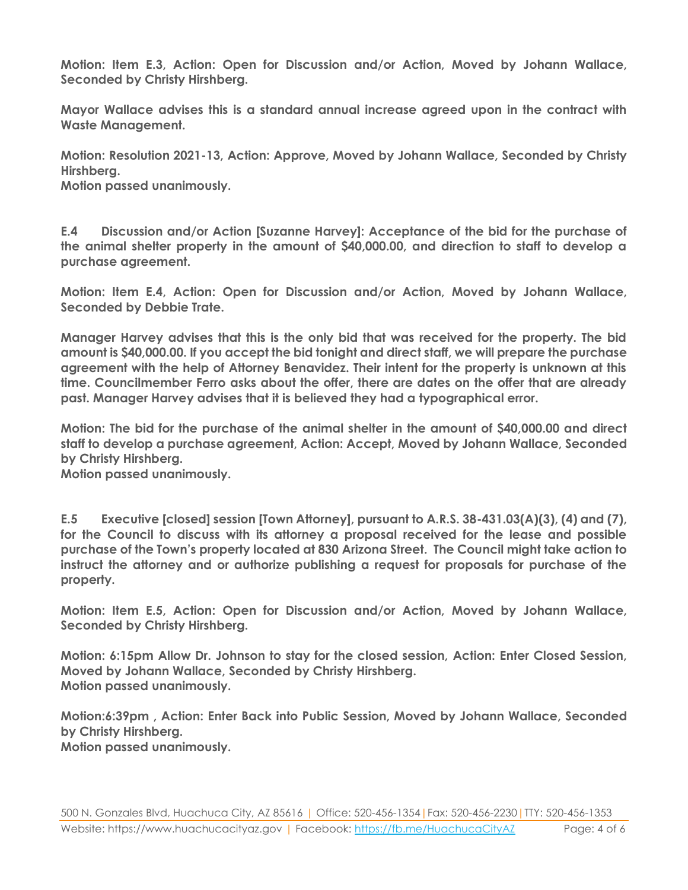**Motion: Item E.3, Action: Open for Discussion and/or Action, Moved by Johann Wallace, Seconded by Christy Hirshberg.**

**Mayor Wallace advises this is a standard annual increase agreed upon in the contract with Waste Management.** 

**Motion: Resolution 2021-13, Action: Approve, Moved by Johann Wallace, Seconded by Christy Hirshberg.**

**Motion passed unanimously.**

**E.4 Discussion and/or Action [Suzanne Harvey]: Acceptance of the bid for the purchase of the animal shelter property in the amount of \$40,000.00, and direction to staff to develop a purchase agreement.**

**Motion: Item E.4, Action: Open for Discussion and/or Action, Moved by Johann Wallace, Seconded by Debbie Trate.**

**Manager Harvey advises that this is the only bid that was received for the property. The bid amount is \$40,000.00. If you accept the bid tonight and direct staff, we will prepare the purchase agreement with the help of Attorney Benavidez. Their intent for the property is unknown at this time. Councilmember Ferro asks about the offer, there are dates on the offer that are already past. Manager Harvey advises that it is believed they had a typographical error.**

**Motion: The bid for the purchase of the animal shelter in the amount of \$40,000.00 and direct staff to develop a purchase agreement, Action: Accept, Moved by Johann Wallace, Seconded by Christy Hirshberg.**

**Motion passed unanimously.**

**E.5 Executive [closed] session [Town Attorney], pursuant to A.R.S. 38-431.03(A)(3), (4) and (7), for the Council to discuss with its attorney a proposal received for the lease and possible purchase of the Town's property located at 830 Arizona Street. The Council might take action to instruct the attorney and or authorize publishing a request for proposals for purchase of the property.** 

**Motion: Item E.5, Action: Open for Discussion and/or Action, Moved by Johann Wallace, Seconded by Christy Hirshberg.**

**Motion: 6:15pm Allow Dr. Johnson to stay for the closed session, Action: Enter Closed Session, Moved by Johann Wallace, Seconded by Christy Hirshberg. Motion passed unanimously.**

**Motion:6:39pm , Action: Enter Back into Public Session, Moved by Johann Wallace, Seconded by Christy Hirshberg. Motion passed unanimously.**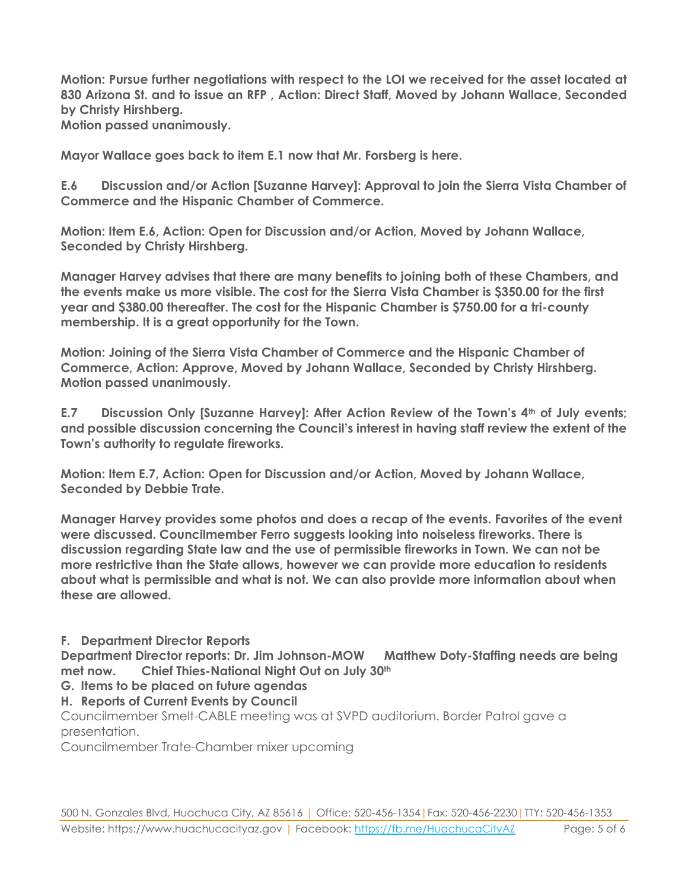**Motion: Pursue further negotiations with respect to the LOI we received for the asset located at 830 Arizona St. and to issue an RFP , Action: Direct Staff, Moved by Johann Wallace, Seconded by Christy Hirshberg.**

**Motion passed unanimously.**

**Mayor Wallace goes back to item E.1 now that Mr. Forsberg is here.**

**E.6 Discussion and/or Action [Suzanne Harvey]: Approval to join the Sierra Vista Chamber of Commerce and the Hispanic Chamber of Commerce.**

**Motion: Item E.6, Action: Open for Discussion and/or Action, Moved by Johann Wallace, Seconded by Christy Hirshberg.**

**Manager Harvey advises that there are many benefits to joining both of these Chambers, and the events make us more visible. The cost for the Sierra Vista Chamber is \$350.00 for the first year and \$380.00 thereafter. The cost for the Hispanic Chamber is \$750.00 for a tri-county membership. It is a great opportunity for the Town.**

**Motion: Joining of the Sierra Vista Chamber of Commerce and the Hispanic Chamber of Commerce, Action: Approve, Moved by Johann Wallace, Seconded by Christy Hirshberg. Motion passed unanimously.**

**E.7 Discussion Only [Suzanne Harvey]: After Action Review of the Town's 4th of July events; and possible discussion concerning the Council's interest in having staff review the extent of the Town's authority to regulate fireworks.** 

**Motion: Item E.7, Action: Open for Discussion and/or Action, Moved by Johann Wallace, Seconded by Debbie Trate.**

**Manager Harvey provides some photos and does a recap of the events. Favorites of the event were discussed. Councilmember Ferro suggests looking into noiseless fireworks. There is discussion regarding State law and the use of permissible fireworks in Town. We can not be more restrictive than the State allows, however we can provide more education to residents about what is permissible and what is not. We can also provide more information about when these are allowed.** 

**F. Department Director Reports**

**Department Director reports: Dr. Jim Johnson-MOW Matthew Doty-Staffing needs are being met now. Chief Thies-National Night Out on July 30th**

- **G. Items to be placed on future agendas**
- **H. Reports of Current Events by Council**

Councilmember Smelt-CABLE meeting was at SVPD auditorium. Border Patrol gave a presentation.

Councilmember Trate-Chamber mixer upcoming